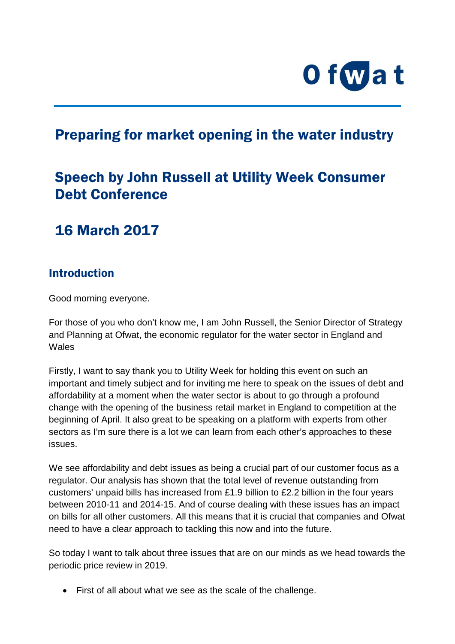

# Preparing for market opening in the water industry

# Speech by John Russell at Utility Week Consumer Debt Conference

## 16 March 2017

#### **Introduction**

Good morning everyone.

For those of you who don't know me, I am John Russell, the Senior Director of Strategy and Planning at Ofwat, the economic regulator for the water sector in England and **Wales** 

Firstly, I want to say thank you to Utility Week for holding this event on such an important and timely subject and for inviting me here to speak on the issues of debt and affordability at a moment when the water sector is about to go through a profound change with the opening of the business retail market in England to competition at the beginning of April. It also great to be speaking on a platform with experts from other sectors as I'm sure there is a lot we can learn from each other's approaches to these issues.

We see affordability and debt issues as being a crucial part of our customer focus as a regulator. Our analysis has shown that the total level of revenue outstanding from customers' unpaid bills has increased from £1.9 billion to £2.2 billion in the four years between 2010-11 and 2014-15. And of course dealing with these issues has an impact on bills for all other customers. All this means that it is crucial that companies and Ofwat need to have a clear approach to tackling this now and into the future.

So today I want to talk about three issues that are on our minds as we head towards the periodic price review in 2019.

• First of all about what we see as the scale of the challenge.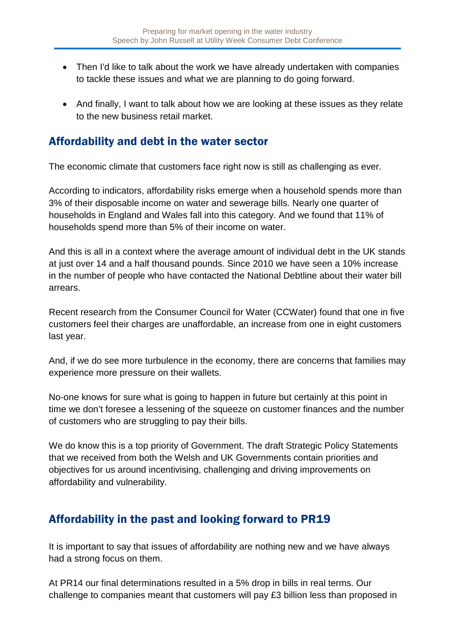- Then I'd like to talk about the work we have already undertaken with companies to tackle these issues and what we are planning to do going forward.
- And finally, I want to talk about how we are looking at these issues as they relate to the new business retail market.

#### Affordability and debt in the water sector

The economic climate that customers face right now is still as challenging as ever.

According to indicators, affordability risks emerge when a household spends more than 3% of their disposable income on water and sewerage bills. Nearly one quarter of households in England and Wales fall into this category. And we found that 11% of households spend more than 5% of their income on water.

And this is all in a context where the average amount of individual debt in the UK stands at just over 14 and a half thousand pounds. Since 2010 we have seen a 10% increase in the number of people who have contacted the National Debtline about their water bill arrears.

Recent research from the Consumer Council for Water (CCWater) found that one in five customers feel their charges are unaffordable, an increase from one in eight customers last year.

And, if we do see more turbulence in the economy, there are concerns that families may experience more pressure on their wallets.

No-one knows for sure what is going to happen in future but certainly at this point in time we don't foresee a lessening of the squeeze on customer finances and the number of customers who are struggling to pay their bills.

We do know this is a top priority of Government. The draft Strategic Policy Statements that we received from both the Welsh and UK Governments contain priorities and objectives for us around incentivising, challenging and driving improvements on affordability and vulnerability.

### Affordability in the past and looking forward to PR19

It is important to say that issues of affordability are nothing new and we have always had a strong focus on them.

At PR14 our final determinations resulted in a 5% drop in bills in real terms. Our challenge to companies meant that customers will pay £3 billion less than proposed in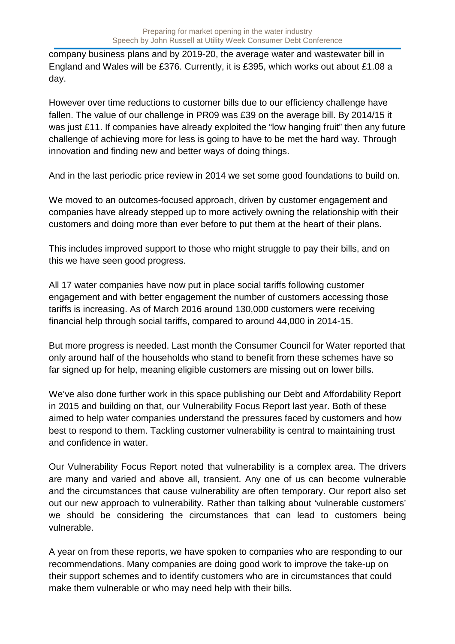company business plans and by 2019-20, the average water and wastewater bill in England and Wales will be £376. Currently, it is £395, which works out about £1.08 a day.

However over time reductions to customer bills due to our efficiency challenge have fallen. The value of our challenge in PR09 was £39 on the average bill. By 2014/15 it was just £11. If companies have already exploited the "low hanging fruit" then any future challenge of achieving more for less is going to have to be met the hard way. Through innovation and finding new and better ways of doing things.

And in the last periodic price review in 2014 we set some good foundations to build on.

We moved to an outcomes-focused approach, driven by customer engagement and companies have already stepped up to more actively owning the relationship with their customers and doing more than ever before to put them at the heart of their plans.

This includes improved support to those who might struggle to pay their bills, and on this we have seen good progress.

All 17 water companies have now put in place social tariffs following customer engagement and with better engagement the number of customers accessing those tariffs is increasing. As of March 2016 around 130,000 customers were receiving financial help through social tariffs, compared to around 44,000 in 2014-15.

But more progress is needed. Last month the Consumer Council for Water reported that only around half of the households who stand to benefit from these schemes have so far signed up for help, meaning eligible customers are missing out on lower bills.

We've also done further work in this space publishing our Debt and Affordability Report in 2015 and building on that, our Vulnerability Focus Report last year. Both of these aimed to help water companies understand the pressures faced by customers and how best to respond to them. Tackling customer vulnerability is central to maintaining trust and confidence in water.

Our Vulnerability Focus Report noted that vulnerability is a complex area. The drivers are many and varied and above all, transient. Any one of us can become vulnerable and the circumstances that cause vulnerability are often temporary. Our report also set out our new approach to vulnerability. Rather than talking about 'vulnerable customers' we should be considering the circumstances that can lead to customers being vulnerable.

A year on from these reports, we have spoken to companies who are responding to our recommendations. Many companies are doing good work to improve the take-up on their support schemes and to identify customers who are in circumstances that could make them vulnerable or who may need help with their bills.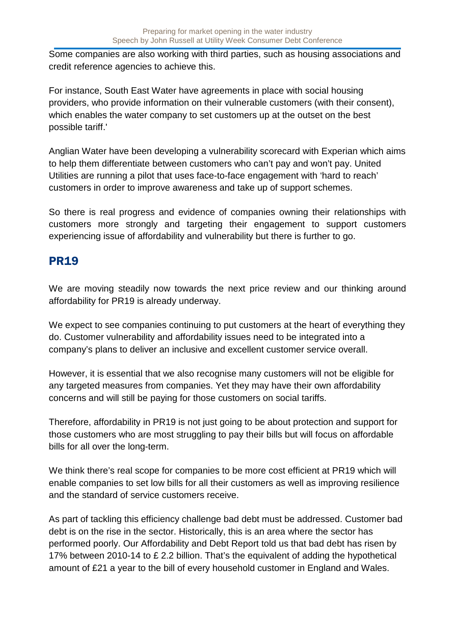Some companies are also working with third parties, such as housing associations and credit reference agencies to achieve this.

For instance, South East Water have agreements in place with social housing providers, who provide information on their vulnerable customers (with their consent), which enables the water company to set customers up at the outset on the best possible tariff.'

Anglian Water have been developing a vulnerability scorecard with Experian which aims to help them differentiate between customers who can't pay and won't pay. United Utilities are running a pilot that uses face-to-face engagement with 'hard to reach' customers in order to improve awareness and take up of support schemes.

So there is real progress and evidence of companies owning their relationships with customers more strongly and targeting their engagement to support customers experiencing issue of affordability and vulnerability but there is further to go.

### PR19

We are moving steadily now towards the next price review and our thinking around affordability for PR19 is already underway.

We expect to see companies continuing to put customers at the heart of everything they do. Customer vulnerability and affordability issues need to be integrated into a company's plans to deliver an inclusive and excellent customer service overall.

However, it is essential that we also recognise many customers will not be eligible for any targeted measures from companies. Yet they may have their own affordability concerns and will still be paying for those customers on social tariffs.

Therefore, affordability in PR19 is not just going to be about protection and support for those customers who are most struggling to pay their bills but will focus on affordable bills for all over the long-term.

We think there's real scope for companies to be more cost efficient at PR19 which will enable companies to set low bills for all their customers as well as improving resilience and the standard of service customers receive.

As part of tackling this efficiency challenge bad debt must be addressed. Customer bad debt is on the rise in the sector. Historically, this is an area where the sector has performed poorly. Our Affordability and Debt Report told us that bad debt has risen by 17% between 2010-14 to £ 2.2 billion. That's the equivalent of adding the hypothetical amount of £21 a year to the bill of every household customer in England and Wales.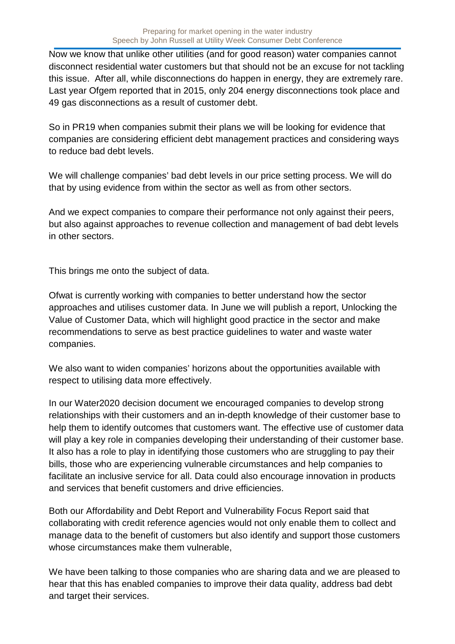Now we know that unlike other utilities (and for good reason) water companies cannot disconnect residential water customers but that should not be an excuse for not tackling this issue. After all, while disconnections do happen in energy, they are extremely rare. Last year Ofgem reported that in 2015, only 204 energy disconnections took place and 49 gas disconnections as a result of customer debt.

So in PR19 when companies submit their plans we will be looking for evidence that companies are considering efficient debt management practices and considering ways to reduce bad debt levels.

We will challenge companies' bad debt levels in our price setting process. We will do that by using evidence from within the sector as well as from other sectors.

And we expect companies to compare their performance not only against their peers, but also against approaches to revenue collection and management of bad debt levels in other sectors.

This brings me onto the subject of data.

Ofwat is currently working with companies to better understand how the sector approaches and utilises customer data. In June we will publish a report, Unlocking the Value of Customer Data, which will highlight good practice in the sector and make recommendations to serve as best practice guidelines to water and waste water companies.

We also want to widen companies' horizons about the opportunities available with respect to utilising data more effectively.

In our Water2020 decision document we encouraged companies to develop strong relationships with their customers and an in-depth knowledge of their customer base to help them to identify outcomes that customers want. The effective use of customer data will play a key role in companies developing their understanding of their customer base. It also has a role to play in identifying those customers who are struggling to pay their bills, those who are experiencing vulnerable circumstances and help companies to facilitate an inclusive service for all. Data could also encourage innovation in products and services that benefit customers and drive efficiencies.

Both our Affordability and Debt Report and Vulnerability Focus Report said that collaborating with credit reference agencies would not only enable them to collect and manage data to the benefit of customers but also identify and support those customers whose circumstances make them vulnerable,

We have been talking to those companies who are sharing data and we are pleased to hear that this has enabled companies to improve their data quality, address bad debt and target their services.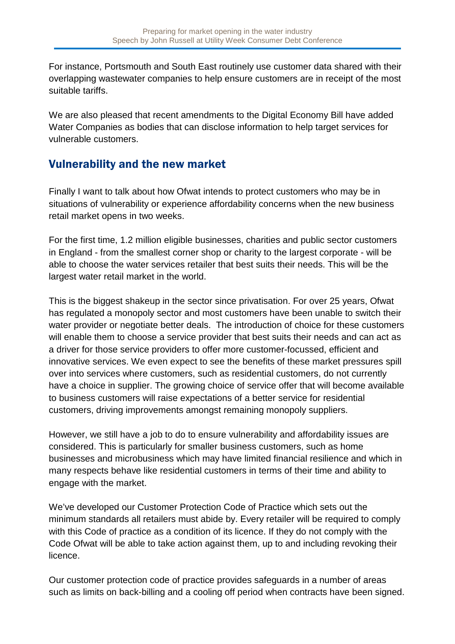For instance, Portsmouth and South East routinely use customer data shared with their overlapping wastewater companies to help ensure customers are in receipt of the most suitable tariffs.

We are also pleased that recent amendments to the Digital Economy Bill have added Water Companies as bodies that can disclose information to help target services for vulnerable customers.

#### Vulnerability and the new market

Finally I want to talk about how Ofwat intends to protect customers who may be in situations of vulnerability or experience affordability concerns when the new business retail market opens in two weeks.

For the first time, 1.2 million eligible businesses, charities and public sector customers in England - from the smallest corner shop or charity to the largest corporate - will be able to choose the water services retailer that best suits their needs. This will be the largest water retail market in the world.

This is the biggest shakeup in the sector since privatisation. For over 25 years, Ofwat has regulated a monopoly sector and most customers have been unable to switch their water provider or negotiate better deals. The introduction of choice for these customers will enable them to choose a service provider that best suits their needs and can act as a driver for those service providers to offer more customer-focussed, efficient and innovative services. We even expect to see the benefits of these market pressures spill over into services where customers, such as residential customers, do not currently have a choice in supplier. The growing choice of service offer that will become available to business customers will raise expectations of a better service for residential customers, driving improvements amongst remaining monopoly suppliers.

However, we still have a job to do to ensure vulnerability and affordability issues are considered. This is particularly for smaller business customers, such as home businesses and microbusiness which may have limited financial resilience and which in many respects behave like residential customers in terms of their time and ability to engage with the market.

We've developed our Customer Protection Code of Practice which sets out the minimum standards all retailers must abide by. Every retailer will be required to comply with this Code of practice as a condition of its licence. If they do not comply with the Code Ofwat will be able to take action against them, up to and including revoking their licence.

Our customer protection code of practice provides safeguards in a number of areas such as limits on back-billing and a cooling off period when contracts have been signed.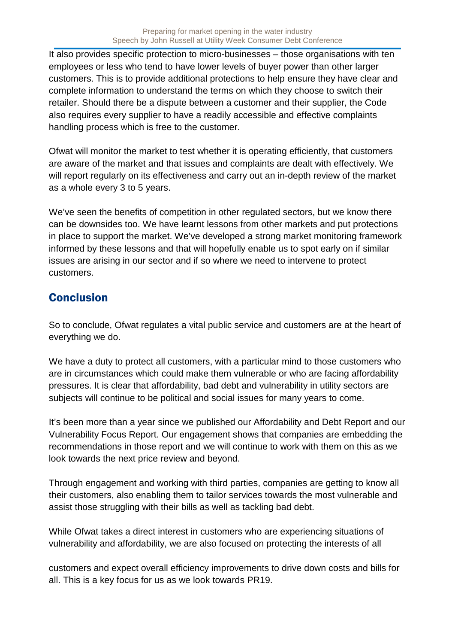It also provides specific protection to micro-businesses – those organisations with ten employees or less who tend to have lower levels of buyer power than other larger customers. This is to provide additional protections to help ensure they have clear and complete information to understand the terms on which they choose to switch their retailer. Should there be a dispute between a customer and their supplier, the Code also requires every supplier to have a readily accessible and effective complaints handling process which is free to the customer.

Ofwat will monitor the market to test whether it is operating efficiently, that customers are aware of the market and that issues and complaints are dealt with effectively. We will report regularly on its effectiveness and carry out an in-depth review of the market as a whole every 3 to 5 years.

We've seen the benefits of competition in other regulated sectors, but we know there can be downsides too. We have learnt lessons from other markets and put protections in place to support the market. We've developed a strong market monitoring framework informed by these lessons and that will hopefully enable us to spot early on if similar issues are arising in our sector and if so where we need to intervene to protect customers.

### **Conclusion**

So to conclude, Ofwat regulates a vital public service and customers are at the heart of everything we do.

We have a duty to protect all customers, with a particular mind to those customers who are in circumstances which could make them vulnerable or who are facing affordability pressures. It is clear that affordability, bad debt and vulnerability in utility sectors are subjects will continue to be political and social issues for many years to come.

It's been more than a year since we published our Affordability and Debt Report and our Vulnerability Focus Report. Our engagement shows that companies are embedding the recommendations in those report and we will continue to work with them on this as we look towards the next price review and beyond.

Through engagement and working with third parties, companies are getting to know all their customers, also enabling them to tailor services towards the most vulnerable and assist those struggling with their bills as well as tackling bad debt.

While Ofwat takes a direct interest in customers who are experiencing situations of vulnerability and affordability, we are also focused on protecting the interests of all

customers and expect overall efficiency improvements to drive down costs and bills for all. This is a key focus for us as we look towards PR19.